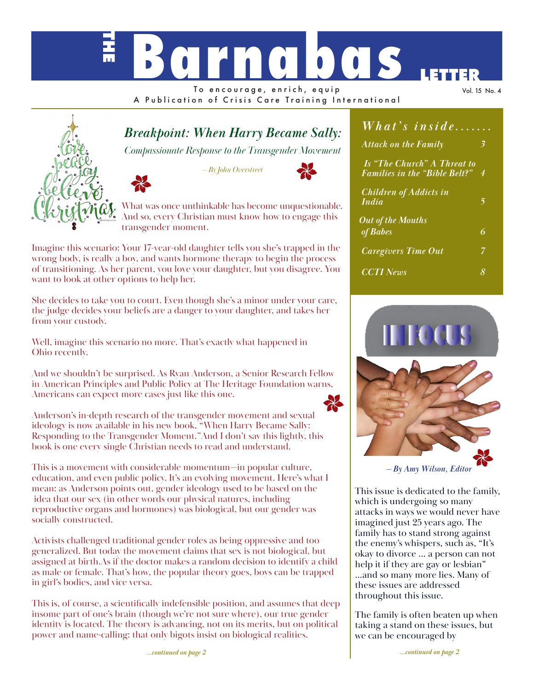# **THE BOCHOOO**

To encourage, enrich, equip A Publication of Crisis Care Training International Vol. 15 No. 4

# *Breakpoint: When Harry Became Sally:*

*Compassionate Response to the Transgender Movement*

*— By John Overstreet*



What was once unthinkable has become unquestionable. And so, every Christian must know how to engage this transgender moment.

Imagine this scenario: Your 17-year-old daughter tells you she's trapped in the wrong body, is really a boy, and wants hormone therapy to begin the process of transitioning. As her parent, you love your daughter, but you disagree. You want to look at other options to help her.

She decides to take you to court. Even though she's a minor under your care, the judge decides your beliefs are a danger to your daughter, and takes her from your custody.

Well, imagine this scenario no more. That's exactly what happened in Ohio recently.

And we shouldn't be surprised. As Ryan Anderson, a Senior Research Fellow in American Principles and Public Policy at The Heritage Foundation warns, Americans can expect more cases just like this one.



Anderson's in-depth research of the transgender movement and sexual ideology is now available in his new book, "When Harry Became Sally: Responding to the Transgender Moment."And I don't say this lightly, this book is one every single Christian needs to read and understand.

This is a movement with considerable momentum—in popular culture, education, and even public policy. It's an evolving movement. Here's what I mean: as Anderson points out, gender ideology used to be based on the idea that our sex (in other words our physical natures, including reproductive organs and hormones) was biological, but our gender was socially constructed.

Activists challenged traditional gender roles as being oppressive and too generalized. But today the movement claims that sex is not biological, but assigned at birth.As if the doctor makes a random decision to identify a child as male or female. That's how, the popular theory goes, boys can be trapped in girl's bodies, and vice versa.

This is, of course, a scientifically indefensible position, and assumes that deep insome part of one's brain (though we're not sure where), our true gender identity is located. The theory is advancing, not on its merits, but on political power and name-calling: that only bigots insist on biological realities.

| What's inside                                                       | $\overline{a}$ |
|---------------------------------------------------------------------|----------------|
| <b>Attack on the Family</b>                                         |                |
| Is "The Church" A Threat to<br><b>Families in the "Bible Belt?"</b> | 4              |
| <b>Children of Addicts in</b><br><i>India</i>                       | 5              |
| <b>Out of the Mouths</b>                                            |                |
| of <b>Babes</b>                                                     | 6              |
| <b>Caregivers Time Out</b>                                          | 7              |
| <b>CCTI</b> News                                                    | 8              |



This issue is dedicated to the family, which is undergoing so many attacks in ways we would never have imagined just 25 years ago. The family has to stand strong against the enemy's whispers, such as, "It's okay to divorce ... a person can not help it if they are gay or lesbian" ...and so many more lies. Many of these issues are addressed throughout this issue.

The family is often beaten up when taking a stand on these issues, but we can be encouraged by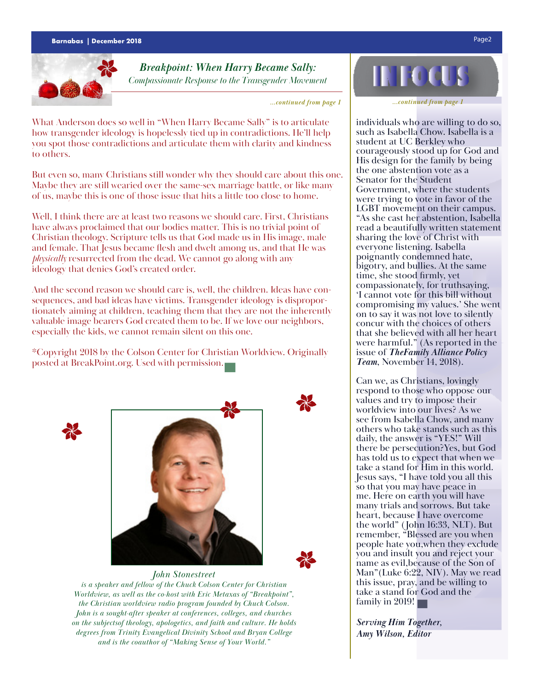

# *Breakpoint: When Harry Became Sally: Compassionate Response to the Transgender Movement*

*...continued from page 1*

What Anderson does so well in "When Harry Became Sally" is to articulate how transgender ideology is hopelessly tied up in contradictions. He'll help you spot those contradictions and articulate them with clarity and kindness to others.

But even so, many Christians still wonder why they should care about this one. Maybe they are still wearied over the same-sex marriage battle, or like many of us, maybe this is one of those issue that hits a little too close to home.

Well, I think there are at least two reasons we should care. First, Christians have always proclaimed that our bodies matter. This is no trivial point of Christian theology. Scripture tells us that God made us in His image, male and female. That Jesus became flesh and dwelt among us, and that He was *physically* resurrected from the dead. We cannot go along with any ideology that denies God's created order.

And the second reason we should care is, well, the children. Ideas have consequences, and bad ideas have victims. Transgender ideology is disproportionately aiming at children, teaching them that they are not the inherently valuable image bearers God created them to be. If we love our neighbors, especially the kids, we cannot remain silent on this one.

\*Copyright 2018 by the Colson Center for Christian Worldview. Originally posted at BreakPoint.org. Used with permission.





## *John Stonestreet*



*is a speaker and fellow of the Chuck Colson Center for Christian Worldview, as well as the co-host with Eric Metaxas of "Breakpoint", the Christian worldview radio program founded by Chuck Colson. John is a sought-after speaker at conferences, colleges, and churches on the subjectsof theology, apologetics, and faith and culture. He holds degrees from Trinity Evangelical Divinity School and Bryan College and is the coauthor of "Making Sense of Your World."*



*...continued from page 1*

individuals who are willing to do so, such as Isabella Chow. Isabella is a student at UC Berkley who courageously stood up for God and His design for the family by being the one abstention vote as a Senator for the Student Government, where the students were trying to vote in favor of the LGBT movement on their campus. "As she cast her abstention, Isabella read a beautifully written statement sharing the love of Christ with everyone listening. Isabella poignantly condemned hate, bigotry, and bullies. At the same time, she stood firmly, yet compassionately, for truthsaying, 'I cannot vote for this bill without compromising my values.' She went on to say it was not love to silently concur with the choices of others that she believed with all her heart were harmful." (As reported in the issue of *TheFamily Alliance Policy Team*, November 14, 2018).

Can we, as Christians, lovingly respond to those who oppose our values and try to impose their worldview into our lives? As we see from Isabella Chow, and many others who take stands such as this daily, the answer is "YES!" Will there be persecution?Yes, but God has told us to expect that when we take a stand for Him in this world. Jesus says, "I have told you all this so that you may have peace in me. Here on earth you will have many trials and sorrows. But take heart, because I have overcome the world" (John 16:33, NLT). But remember, "Blessed are you when people hate you,when they exclude you and insult you and reject your name as evil,because of the Son of Man"(Luke 6:22, NIV). May we read this issue, pray, and be willing to take a stand for God and the family in 2019!

*Serving Him Together, Amy Wilson, Editor*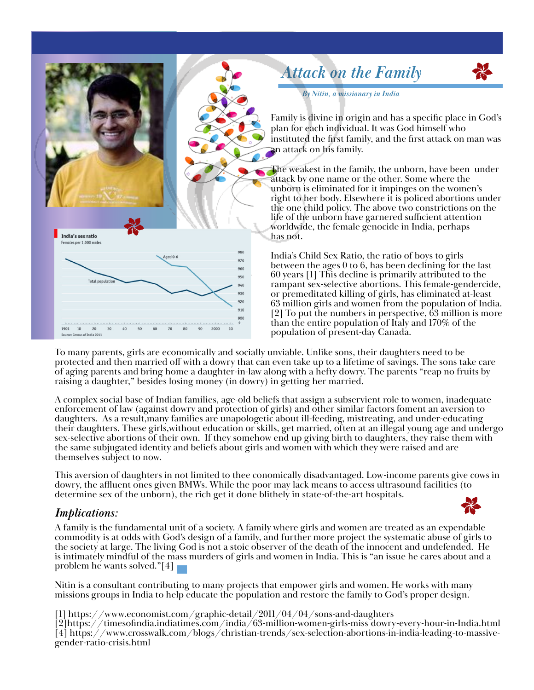

To many parents, girls are economically and socially unviable. Unlike sons, their daughters need to be protected and then married off with a dowry that can even take up to a lifetime of savings. The sons take care of aging parents and bring home a daughter-in-law along with a hefty dowry. The parents "reap no fruits by raising a daughter," besides losing money (in dowry) in getting her married.

A complex social base of Indian families, age-old beliefs that assign a subservient role to women, inadequate enforcement of law (against dowry and protection of girls) and other similar factors foment an aversion to daughters. As a result,many families are unapologetic about ill-feeding, mistreating, and under-educating their daughters. These girls,without education or skills, get married, often at an illegal young age and undergo sex-selective abortions of their own. If they somehow end up giving birth to daughters, they raise them with the same subjugated identity and beliefs about girls and women with which they were raised and are themselves subject to now.

This aversion of daughters in not limited to thee conomically disadvantaged. Low-income parents give cows in dowry, the affluent ones given BMWs. While the poor may lack means to access ultrasound facilities (to determine sex of the unborn), the rich get it done blithely in state-of-the-art hospitals.

# *Implications:*



A family is the fundamental unit of a society. A family where girls and women are treated as an expendable commodity is at odds with God's design of a family, and further more project the systematic abuse of girls to the society at large. The living God is not a stoic observer of the death of the innocent and undefended. He is intimately mindful of the mass murders of girls and women in India. This is "an issue he cares about and a problem he wants solved."[4]  $\blacksquare$ 

Nitin is a consultant contributing to many projects that empower girls and women. He works with many missions groups in India to help educate the population and restore the family to God's proper design.

[1] https://www.economist.com/graphic-detail/2011/04/04/sons-and-daughters

[2]https://timesofindia.indiatimes.com/india/63-million-women-girls-miss dowry-every-hour-in-India.html [4] https://www.crosswalk.com/blogs/christian-trends/sex-selection-abortions-in-india-leading-to-massivegender-ratio-crisis.html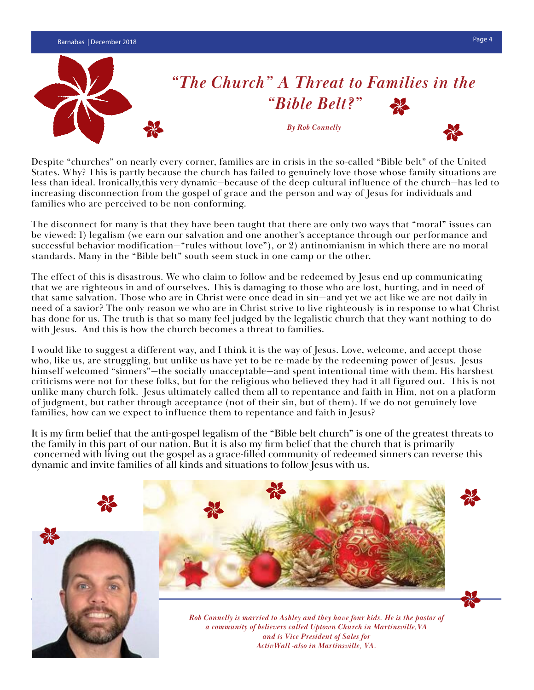

Despite "churches" on nearly every corner, families are in crisis in the so-called "Bible belt" of the United States. Why? This is partly because the church has failed to genuinely love those whose family situations are less than ideal. Ironically,this very dynamic—because of the deep cultural influence of the church—has led to increasing disconnection from the gospel of grace and the person and way of Jesus for individuals and families who are perceived to be non-conforming.

The disconnect for many is that they have been taught that there are only two ways that "moral" issues can be viewed: 1) legalism (we earn our salvation and one another's acceptance through our performance and successful behavior modification—"rules without love"), or 2) antinomianism in which there are no moral standards. Many in the "Bible belt" south seem stuck in one camp or the other.

The effect of this is disastrous. We who claim to follow and be redeemed by Jesus end up communicating that we are righteous in and of ourselves. This is damaging to those who are lost, hurting, and in need of that same salvation. Those who are in Christ were once dead in sin—and yet we act like we are not daily in need of a savior? The only reason we who are in Christ strive to live righteously is in response to what Christ has done for us. The truth is that so many feel judged by the legalistic church that they want nothing to do with Jesus. And this is how the church becomes a threat to families.

I would like to suggest a different way, and I think it is the way of Jesus. Love, welcome, and accept those who, like us, are struggling, but unlike us have yet to be re-made by the redeeming power of Jesus. Jesus himself welcomed "sinners"—the socially unacceptable—and spent intentional time with them. His harshest criticisms were not for these folks, but for the religious who believed they had it all figured out. This is not unlike many church folk. Jesus ultimately called them all to repentance and faith in Him, not on a platform of judgment, but rather through acceptance (not of their sin, but of them). If we do not genuinely love families, how can we expect to influence them to repentance and faith in Jesus?

It is my firm belief that the anti-gospel legalism of the "Bible belt church" is one of the greatest threats to the family in this part of our nation. But it is also my firm belief that the church that is primarily concerned with living out the gospel as a grace-filled community of redeemed sinners can reverse this dynamic and invite families of all kinds and situations to follow Jesus with us.

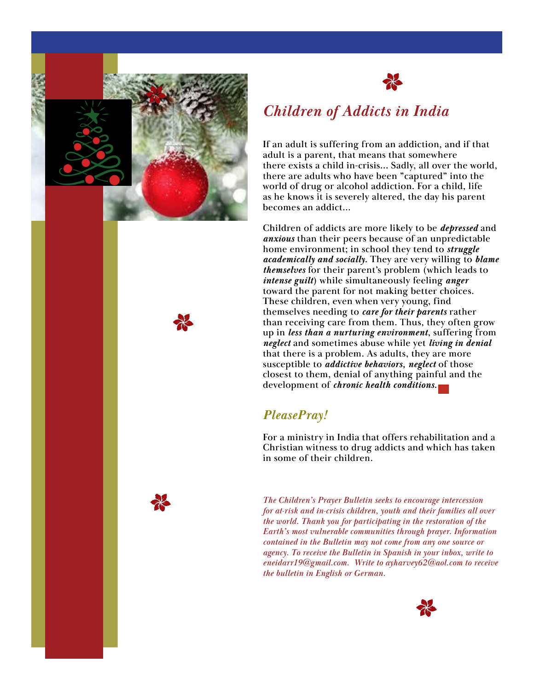



# *Children of Addicts in India*

If an adult is suffering from an addiction, and if that adult is a parent, that means that somewhere there exists a child in-crisis... Sadly, all over the world, there are adults who have been "captured" into the world of drug or alcohol addiction. For a child, life as he knows it is severely altered, the day his parent becomes an addict...

Children of addicts are more likely to be *depressed* and *anxious* than their peers because of an unpredictable home environment; in school they tend to *struggle academically and socially*. They are very willing to *blame themselves* for their parent's problem (which leads to *intense guilt*) while simultaneously feeling *anger* toward the parent for not making better choices. These children, even when very young, find themselves needing to *care for their parents* rather than receiving care from them. Thus, they often grow up in *less than a nurturing environment*, suffering from *neglect* and sometimes abuse while yet *living in denial*  that there is a problem. As adults, they are more susceptible to *addictive behaviors, neglect* of those closest to them, denial of anything painful and the development of *chronic health conditions*.

# *PleasePray!*

For a ministry in India that offers rehabilitation and a Christian witness to drug addicts and which has taken in some of their children.

*The Children's Prayer Bulletin seeks to encourage intercession for at-risk and in-crisis children, youth and their families all over the world. Thank you for participating in the restoration of the Earth's most vulnerable communities through prayer. Information contained in the Bulletin may not come from any one source or agency. To receive the Bulletin in Spanish in your inbox, write to eneidarr19@gmail.com. Write to ayharvey62@aol.com to receive the bulletin in English or German.*



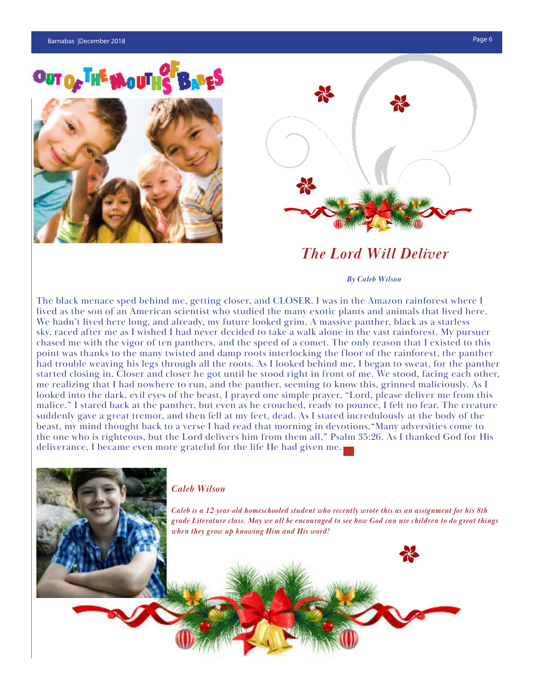long and surreal journey.

# OUT OF THE MOUTHS B





# *The Lord Will Deliver*

#### $S_{\rm eff}$  flips through a small photo album, laminated pages stuffed pages stuffed pages stuffed pages stuffed pages stuffed pages stuffed pages stuffed pages stuffed pages stuffed pages stuffed pages stuffed pages stuffed *By Caleb Wilson*

The black menace sped behind me, getting closer, and CLOSER. I was in the Amazon rainforest where I lived as the son of an American scientist who studied the many exotic plants and animals that lived here. We hadn't lived here long, and already, my future looked grim. A massive panther, black as a starless sky, raced after me as I wished I had never decided to take a walk alone in the vast rainforest. My pursuer point was thanks to the many twisted and damp roots interlocking the floor of the rainforest, the panther had trouble weaving his legs through all the roots. As I looked behind me, I began to sweat, for the panther started closing in. Closer and closer he got until he stood right in front of me. We stood, facing each other, me realizing that I had nowhere to run, and the panther, seeming to know this, grinned maliciously. As I malice." I stared back at the panther, but even as he crouched, ready to pounce, I felt no fear. The creature hances. To take the them trained, but even as he erodened, reday to pounde, then no redit the ereddered same incredulously at the body of the beast, my mind thought back to a verse I had read that morning in devotions, "Many adversities come to the one who is righteous, but the Lord delivers him from them all," Psalm 35:26. As I thanked God for His deliverance, I became even more grateful for the life He had given me. chased me with the vigor of ten panthers, and the speed of a comet. The only reason that I existed to this looked into the dark, evil eyes of the beast, I prayed one simple prayer, "Lord, please deliver me from this

 $A$  14-hour plane ride transported them to the independent of  $A$  new  $A$ 

#### $\alpha$  set of challenges methods methods methods and the ins-and-outs-and-outs-and-outs-and-outs-and-outs-and-outs-and-outs-and-outs-and-outs-and-outs-and-outs-and-outs-and-outs-and-outs-and-outs-and-outs-and-outs-and-outs-*Caleb Wilson*

take for granted.

 $\mathbf{d}$  and a place to call home.

of a wholly foreign culture, catching up on years' worth of education while the chil-*Caleb is a 12-year-old homeschooled student who recently wrote this as an assignment for his 8th*  dren were still young enough to be enrolled in school, searching for *grade Literature class. May we all be encouraged to see how God can use children to do great things*  employment, and little-by-little learning how to call Canada "home." *when they grow up knowing Him and His word!*

 $A_n = \frac{1}{2}$ 

 $E = \frac{1}{2}$  in security, operator, security for a better life, a safe place place place place place place place place place place place place place place place place place place place place place place place place place p for the their children to play—gifts that most in the Western world also but in the Western world also but in

With such a warm in vitation, many of the method is a warm in the most of the method is a second second in the method is a second second in the method in the method in the method is a second second in the method in the met down roots the agency of the agency and the agency again have something to once again have something to once again have something to once a substitution of the agency of the something to once a substitution of the somethin

 $t$  in  $C$  in  $C$  same challenges.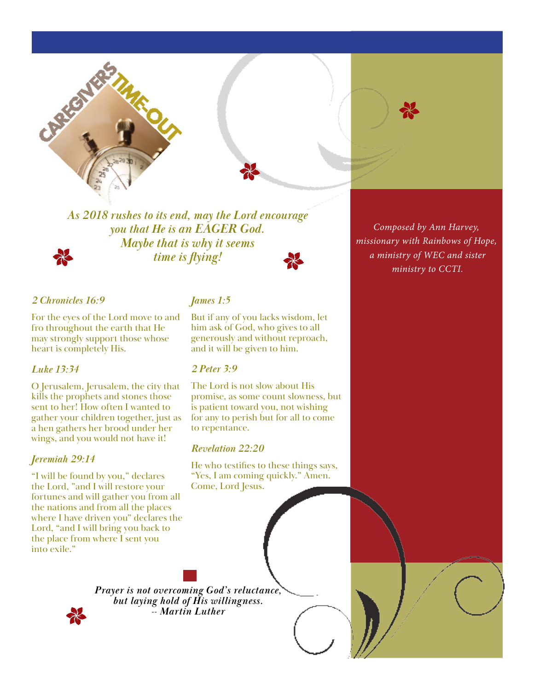



*As 2018 rushes to its end, may the Lord encourage you that He is an EAGER God. Maybe that is why it seems time is flying!*



## *2 Chronicles 16:9*

For the eyes of the Lord move to and fro throughout the earth that He may strongly support those whose heart is completely His.

## *Luke 13:34*

O Jerusalem, Jerusalem, the city that kills the prophets and stones those sent to her! How often I wanted to gather your children together, just as a hen gathers her brood under her wings, and you would not have it!

## *Jeremiah 29:14*

"I will be found by you," declares the Lord, "and I will restore your fortunes and will gather you from all the nations and from all the places where I have driven you" declares the Lord, "and I will bring you back to the place from where I sent you into exile."

# *James 1:5*

But if any of you lacks wisdom, let him ask of God, who gives to all generously and without reproach, and it will be given to him.

### *2 Peter 3:9*

The Lord is not slow about His promise, as some count slowness, but is patient toward you, not wishing for any to perish but for all to come to repentance.

## *Revelation 22:20*

He who testifies to these things says, "Yes, I am coming quickly." Amen. Come, Lord Jesus.

*Prayer is not overcoming God's reluctance, but laying hold of His willingness. -- Martin Luther*

*Composed by Ann Harvey, missionary with Rainbows of Hope, a ministry of WEC and sister ministry to CCTI.*